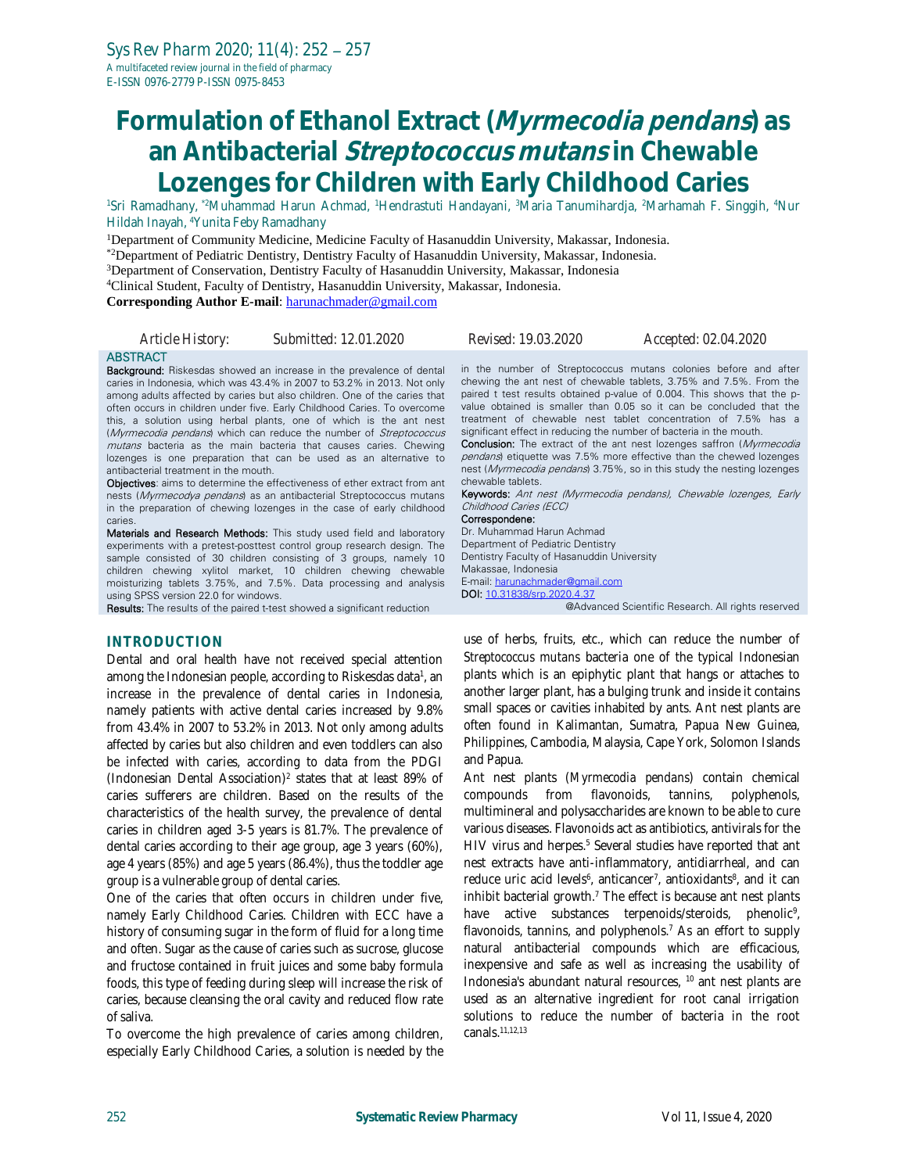# **Formulation of Ethanol Extract (Myrmecodia pendans) as an Antibacterial Streptococcus mutans in Chewable Lozenges for Children with Early Childhood Caries**

<sup>1</sup>Sri Ramadhany, \*2Muhammad Harun Achmad, <sup>1</sup>Hendrastuti Handayani, <sup>3</sup>Maria Tanumihardja, <sup>2</sup>Marhamah F. Singgih, <sup>4</sup>Nur Hildah Inayah, <sup>4</sup>Yunita Feby Ramadhany

<sup>1</sup>Department of Community Medicine, Medicine Faculty of Hasanuddin University, Makassar, Indonesia.

\*2Department of Pediatric Dentistry, Dentistry Faculty of Hasanuddin University, Makassar, Indonesia.

<sup>3</sup>Department of Conservation, Dentistry Faculty of Hasanuddin University, Makassar, Indonesia

<sup>4</sup>Clinical Student, Faculty of Dentistry, Hasanuddin University, Makassar, Indonesia.

**Corresponding Author E-mail**: [harunachmader@gmail.com](mailto:harunachmader@gmail.com)

| Article History:                                                    | Submitted: 12.01.2020                                                                                                                                                                                                                                                                                                                                                                                                                                                                                                                                                                                                                                                                                                                                                                                                                                                                                                                                                                                                                                                                                                                                                                                               | Revised: 19.03.2020                                                                                                                                                                                                                                                                                            | Accepted: 02.04.2020                                                                                                                                                                                                                                                                                                                                                                                                                                                                                                                                                                                                                                                          |
|---------------------------------------------------------------------|---------------------------------------------------------------------------------------------------------------------------------------------------------------------------------------------------------------------------------------------------------------------------------------------------------------------------------------------------------------------------------------------------------------------------------------------------------------------------------------------------------------------------------------------------------------------------------------------------------------------------------------------------------------------------------------------------------------------------------------------------------------------------------------------------------------------------------------------------------------------------------------------------------------------------------------------------------------------------------------------------------------------------------------------------------------------------------------------------------------------------------------------------------------------------------------------------------------------|----------------------------------------------------------------------------------------------------------------------------------------------------------------------------------------------------------------------------------------------------------------------------------------------------------------|-------------------------------------------------------------------------------------------------------------------------------------------------------------------------------------------------------------------------------------------------------------------------------------------------------------------------------------------------------------------------------------------------------------------------------------------------------------------------------------------------------------------------------------------------------------------------------------------------------------------------------------------------------------------------------|
| <b>ABSTRACT</b><br>antibacterial treatment in the mouth.<br>caries. | <b>Background:</b> Riskesdas showed an increase in the prevalence of dental<br>caries in Indonesia, which was 43.4% in 2007 to 53.2% in 2013. Not only<br>among adults affected by caries but also children. One of the caries that<br>often occurs in children under five. Early Childhood Caries. To overcome<br>this, a solution using herbal plants, one of which is the ant nest<br>(Myrmecodia pendans) which can reduce the number of Streptococcus<br><i>mutans</i> bacteria as the main bacteria that causes caries. Chewing<br>lozenges is one preparation that can be used as an alternative to<br><b>Objectives:</b> aims to determine the effectiveness of ether extract from ant<br>nests (Myrmecodya pendans) as an antibacterial Streptococcus mutans<br>in the preparation of chewing lozenges in the case of early childhood<br><b>Materials and Research Methods:</b> This study used field and laboratory<br>experiments with a pretest-posttest control group research design. The<br>sample consisted of 30 children consisting of 3 groups, namely 10<br>children chewing xylitol market, 10 children chewing chewable<br>moisturizing tablets 3.75%, and 7.5%. Data processing and analysis | significant effect in reducing the number of bacteria in the mouth.<br>chewable tablets.<br>Childhood Caries (ECC)<br>Correspondene:<br>Dr. Muhammad Harun Achmad<br>Department of Pediatric Dentistry<br>Dentistry Faculty of Hasanuddin University<br>Makassae, Indonesia<br>E-mail: harunachmader@gmail.com | in the number of Streptococcus mutans colonies before and after<br>chewing the ant nest of chewable tablets, 3.75% and 7.5%. From the<br>paired t test results obtained p-value of 0.004. This shows that the p-<br>value obtained is smaller than 0.05 so it can be concluded that the<br>treatment of chewable nest tablet concentration of 7.5% has a<br><b>Conclusion:</b> The extract of the ant nest lozenges saffron (Myrmecodia<br>pendans) etiquette was 7.5% more effective than the chewed lozenges<br>nest ( <i>Myrmecodia pendans</i> ) 3.75%, so in this study the nesting lozenges<br><b>Keywords:</b> Ant nest (Myrmecodia pendans), Chewable lozenges, Early |
| using SPSS version 22.0 for windows.                                | <b>Results:</b> The results of the paired t-test showed a significant reduction                                                                                                                                                                                                                                                                                                                                                                                                                                                                                                                                                                                                                                                                                                                                                                                                                                                                                                                                                                                                                                                                                                                                     | <b>DOI:</b> 10.31838/srp.2020.4.37                                                                                                                                                                                                                                                                             | @Advanced Scientific Research. All rights reserved                                                                                                                                                                                                                                                                                                                                                                                                                                                                                                                                                                                                                            |

### **INTRODUCTION**

Dental and oral health have not received special attention among the Indonesian people, according to Riskesdas data<sup>1</sup>, an increase in the prevalence of dental caries in Indonesia, namely patients with active dental caries increased by 9.8% from 43.4% in 2007 to 53.2% in 2013. Not only among adults affected by caries but also children and even toddlers can also be infected with caries, according to data from the PDGI (Indonesian Dental Association)<sup>2</sup> states that at least 89% of caries sufferers are children. Based on the results of the characteristics of the health survey, the prevalence of dental caries in children aged 3-5 years is 81.7%. The prevalence of dental caries according to their age group, age 3 years (60%), age 4 years (85%) and age 5 years (86.4%), thus the toddler age group is a vulnerable group of dental caries.

One of the caries that often occurs in children under five, namely Early Childhood Caries. Children with ECC have a history of consuming sugar in the form of fluid for a long time and often. Sugar as the cause of caries such as sucrose, glucose and fructose contained in fruit juices and some baby formula foods, this type of feeding during sleep will increase the risk of caries, because cleansing the oral cavity and reduced flow rate of saliva.

To overcome the high prevalence of caries among children, especially Early Childhood Caries, a solution is needed by the

use of herbs, fruits, etc., which can reduce the number of *Streptococcus mutans* bacteria one of the typical Indonesian plants which is an epiphytic plant that hangs or attaches to another larger plant, has a bulging trunk and inside it contains small spaces or cavities inhabited by ants. Ant nest plants are often found in Kalimantan, Sumatra, Papua New Guinea, Philippines, Cambodia, Malaysia, Cape York, Solomon Islands and Papua.

Ant nest plants (*Myrmecodia pendans*) contain chemical compounds from flavonoids, tannins, polyphenols, multimineral and polysaccharides are known to be able to cure various diseases. Flavonoids act as antibiotics, antivirals for the HIV virus and herpes.<sup>5</sup> Several studies have reported that ant nest extracts have anti-inflammatory, antidiarrheal, and can reduce uric acid levels<sup>6</sup>, anticancer<sup>7</sup>, antioxidants<sup>8</sup>, and it can inhibit bacterial growth. $7$  The effect is because ant nest plants have active substances terpenoids/steroids, phenolic<sup>9</sup>, flavonoids, tannins, and polyphenols.<sup>7</sup> As an effort to supply natural antibacterial compounds which are efficacious, inexpensive and safe as well as increasing the usability of Indonesia's abundant natural resources, <sup>10</sup> ant nest plants are used as an alternative ingredient for root canal irrigation solutions to reduce the number of bacteria in the root canals. 11,12,13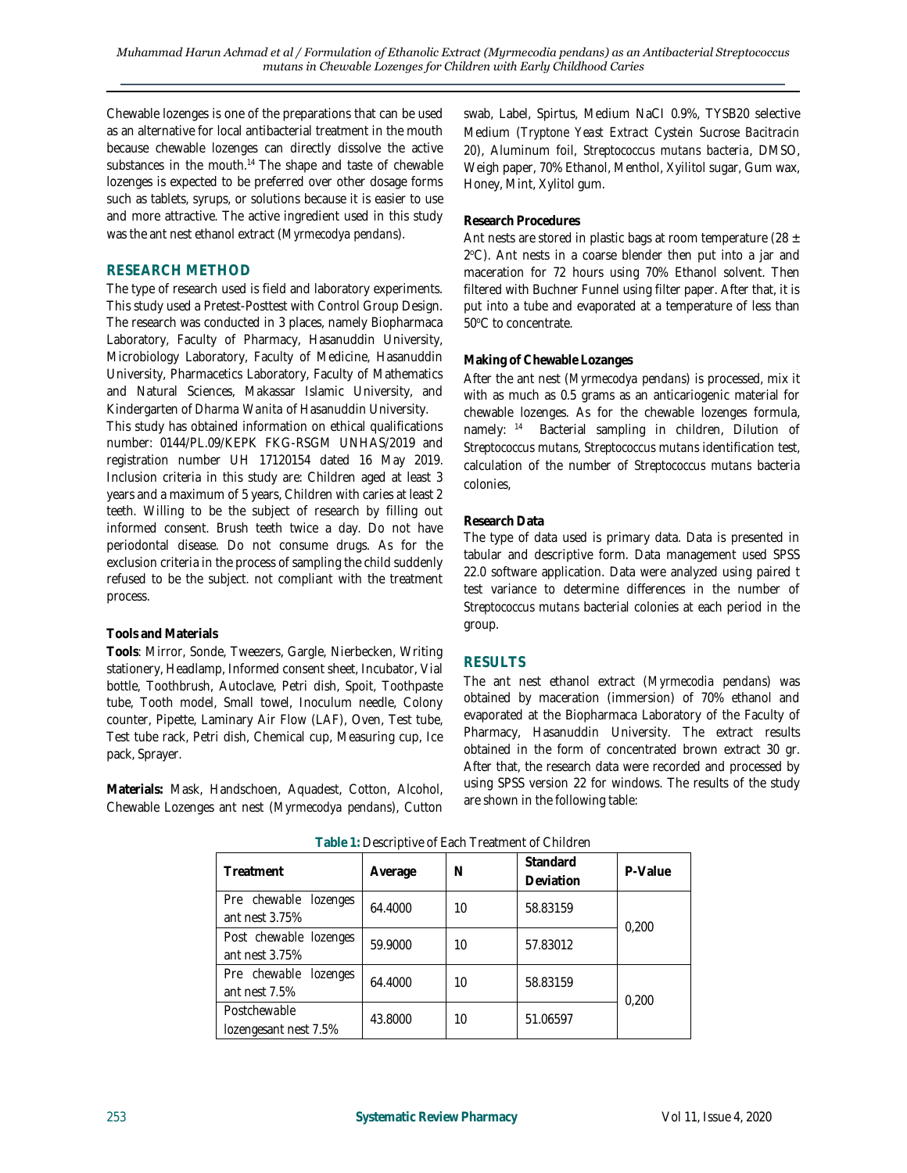Chewable lozenges is one of the preparations that can be used as an alternative for local antibacterial treatment in the mouth because chewable lozenges can directly dissolve the active substances in the mouth.<sup>14</sup> The shape and taste of chewable lozenges is expected to be preferred over other dosage forms such as tablets, syrups, or solutions because it is easier to use and more attractive. The active ingredient used in this study was the ant nest ethanol extract (*Myrmecodya pendans*).

# **RESEARCH METHOD**

The type of research used is field and laboratory experiments. This study used a Pretest-Posttest with Control Group Design. The research was conducted in 3 places, namely Biopharmaca Laboratory, Faculty of Pharmacy, Hasanuddin University, Microbiology Laboratory, Faculty of Medicine, Hasanuddin University, Pharmacetics Laboratory, Faculty of Mathematics and Natural Sciences, Makassar Islamic University, and Kindergarten of *Dharma Wanita* of Hasanuddin University.

This study has obtained information on ethical qualifications number: 0144/PL.09/KEPK FKG-RSGM UNHAS/2019 and registration number UH 17120154 dated 16 May 2019. Inclusion criteria in this study are: Children aged at least 3 years and a maximum of 5 years, Children with caries at least 2 teeth. Willing to be the subject of research by filling out informed consent. Brush teeth twice a day. Do not have periodontal disease. Do not consume drugs. As for the exclusion criteria in the process of sampling the child suddenly refused to be the subject. not compliant with the treatment process.

# **Tools and Materials**

**Tools**: Mirror, Sonde, Tweezers, Gargle, Nierbecken, Writing stationery, Headlamp, Informed consent sheet, Incubator, Vial bottle, Toothbrush, Autoclave, Petri dish, Spoit, Toothpaste tube, Tooth model, Small towel, Inoculum needle, Colony counter, Pipette, Laminary Air Flow (LAF), Oven, Test tube, Test tube rack, Petri dish, Chemical cup, Measuring cup, Ice pack, Sprayer.

**Materials:** Mask, Handschoen, Aquadest, Cotton, Alcohol, Chewable Lozenges ant nest (*Myrmecodya pendans*), Cutton swab, Label, Spirtus, Medium NaCI 0.9%, TYSB20 selective Medium (*Tryptone Yeast Extract Cystein Sucrose Bacitracin 20*), Aluminum foil, *Streptococcus mutans bacteria*, DMSO, Weigh paper, 70% Ethanol, Menthol, Xyilitol sugar, Gum wax, Honey, Mint, Xylitol gum.

# **Research Procedures**

Ant nests are stored in plastic bags at room temperature (28  $\pm$ 2 <sup>o</sup>C). Ant nests in a coarse blender then put into a jar and maceration for 72 hours using 70% Ethanol solvent. Then filtered with Buchner Funnel using filter paper. After that, it is put into a tube and evaporated at a temperature of less than 50°C to concentrate.

## **Making of Chewable Lozanges**

After the ant nest (*Myrmecodya pendans*) is processed, mix it with as much as 0.5 grams as an anticariogenic material for chewable lozenges. As for the chewable lozenges formula, namely: <sup>14</sup> Bacterial sampling in children, Dilution of *Streptococcus mutans*, *Streptococcus mutans* identification test, calculation of the number of *Streptococcus mutans* bacteria colonies*,*

## **Research Data**

The type of data used is primary data. Data is presented in tabular and descriptive form. Data management used SPSS 22.0 software application. Data were analyzed using paired t test variance to determine differences in the number of *Streptococcus mutans* bacterial colonies at each period in the group.

# **RESULTS**

The ant nest ethanol extract (*Myrmecodia pendans*) was obtained by maceration (immersion) of 70% ethanol and evaporated at the Biopharmaca Laboratory of the Faculty of Pharmacy, Hasanuddin University. The extract results obtained in the form of concentrated brown extract 30 gr. After that, the research data were recorded and processed by using SPSS version 22 for windows. The results of the study are shown in the following table:

| Treatment                                   | Average | N  | Standard<br>Deviation | P-Value |  |
|---------------------------------------------|---------|----|-----------------------|---------|--|
| Pre chewable lozenges<br>ant nest 3.75%     | 64.4000 | 10 | 58.83159              | 0.200   |  |
| Post chewable lozenges<br>ant nest 3.75%    | 59.9000 | 10 | 57.83012              |         |  |
| Pre chewable<br>lozenges<br>ant nest $7.5%$ | 64.4000 | 10 | 58.83159              | 0.200   |  |
| Postchewable<br>lozengesant nest 7.5%       | 43.8000 | 10 | 51.06597              |         |  |

#### **Table 1:** Descriptive of Each Treatment of Children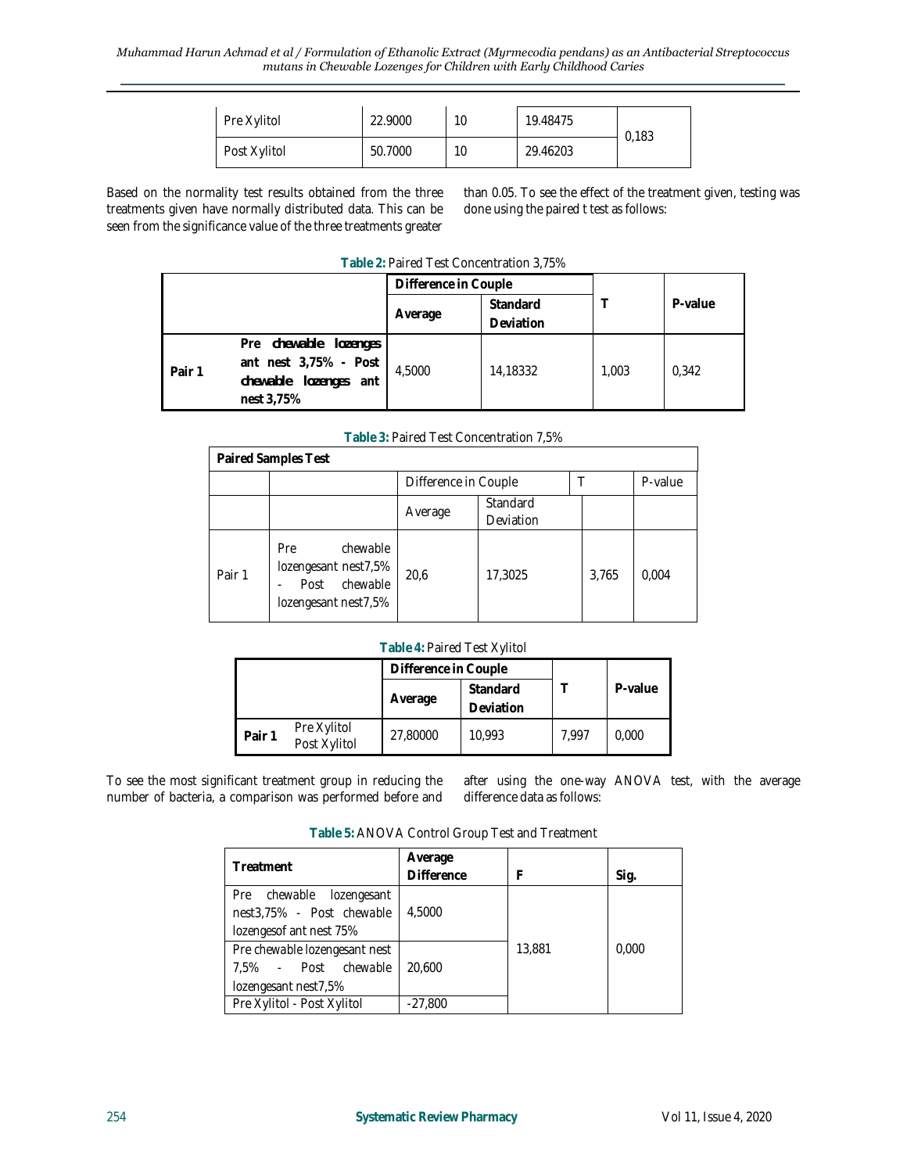| Pre Xylitol  | 22,9000 | 10 | 19.48475 | 0,183 |
|--------------|---------|----|----------|-------|
| Post Xylitol | 50.7000 | 10 | 29.46203 |       |

Based on the normality test results obtained from the three treatments given have normally distributed data. This can be seen from the significance value of the three treatments greater

than 0.05. To see the effect of the treatment given, testing was done using the paired t test as follows:

| Table 2: Paired Test Concentration 3,75% |  |  |
|------------------------------------------|--|--|
|                                          |  |  |

|        |                                                                                       | Difference in Couple |                       |       |         |
|--------|---------------------------------------------------------------------------------------|----------------------|-----------------------|-------|---------|
|        |                                                                                       | Average              | Standard<br>Deviation |       | P-value |
| Pair 1 | Pre chewable lozenges<br>ant nest 3,75% - Post<br>chewable lozenges ant<br>nest 3,75% | 4.5000               | 14,18332              | 1,003 | 0.342   |

**Table 3:** Paired Test Concentration 7,5%

| Paired Samples Test |                                                                                     |                      |                              |       |         |
|---------------------|-------------------------------------------------------------------------------------|----------------------|------------------------------|-------|---------|
|                     |                                                                                     | Difference in Couple |                              |       | P-value |
|                     |                                                                                     | Average              | Standard<br><b>Deviation</b> |       |         |
| Pair 1              | chewable<br>Pre<br>lozengesant nest7,5%<br>chewable<br>Post<br>lozengesant nest7,5% | 20,6                 | 17,3025                      | 3,765 | 0,004   |

#### **Table 4:** Paired Test Xylitol

|                                       | Difference in Couple |                       |       |         |  |
|---------------------------------------|----------------------|-----------------------|-------|---------|--|
|                                       | Average              | Standard<br>Deviation |       | P-value |  |
| Pre Xylitol<br>Pair 1<br>Post Xylitol | 27,80000             | 10.993                | 7.997 | 0.000   |  |

To see the most significant treatment group in reducing the number of bacteria, a comparison was performed before and

after using the one-way ANOVA test, with the average difference data as follows:

| Table 5: ANOVA Control Group Test and Treatment |         |  |  |  |  |  |
|-------------------------------------------------|---------|--|--|--|--|--|
|                                                 | Average |  |  |  |  |  |

| Treatment                     | Average<br><b>Difference</b> |        |       |
|-------------------------------|------------------------------|--------|-------|
|                               |                              |        | Sig.  |
| Pre chewable lozengesant      |                              |        |       |
| nest3,75% - Post chewable     | 4.5000                       |        |       |
| lozengesof ant nest 75%       |                              |        |       |
| Pre chewable lozengesant nest |                              | 13,881 | 0,000 |
| 7,5% - Post chewable          | 20,600                       |        |       |
| lozengesant nest7,5%          |                              |        |       |
| Pre Xylitol - Post Xylitol    | $-27,800$                    |        |       |
|                               |                              |        |       |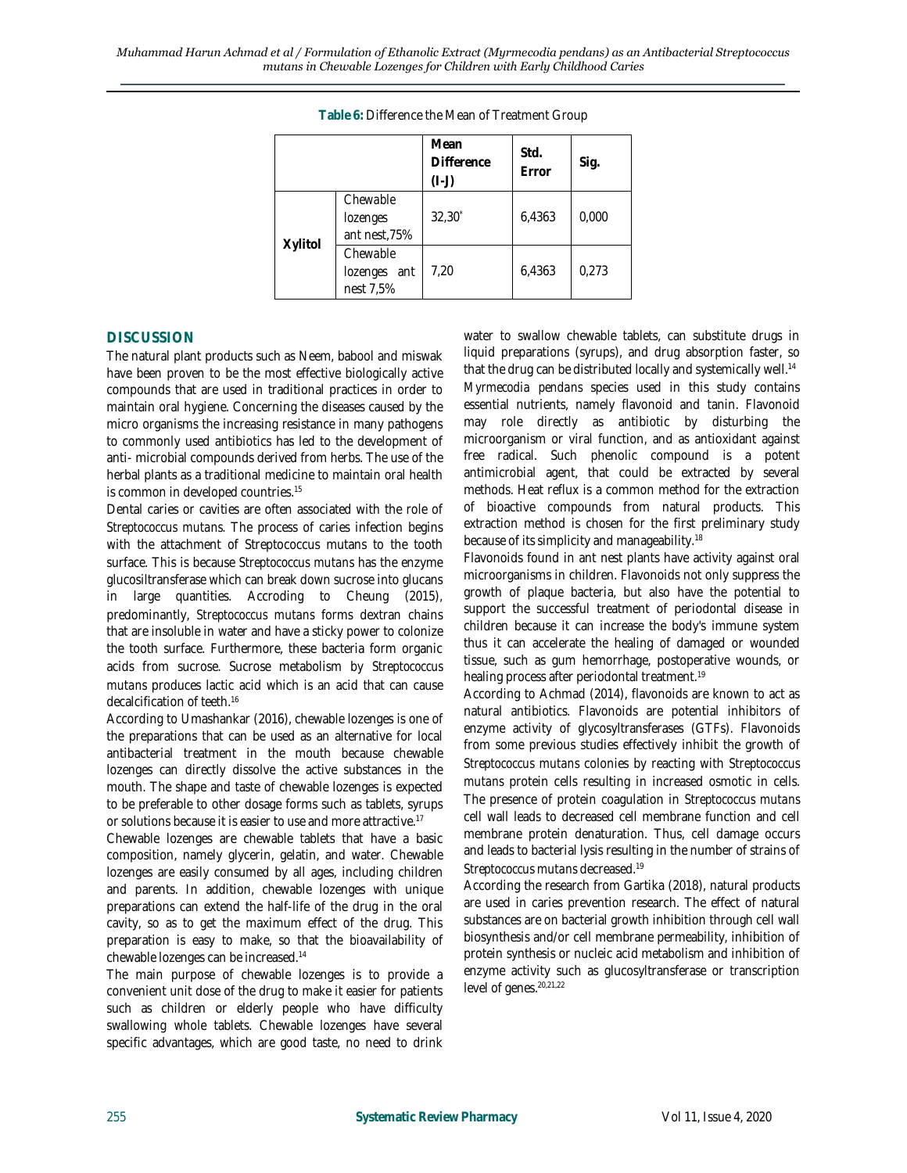|         |                                       | Mean<br><b>Difference</b><br>$(I - J)$ | Std.<br>Error | Sig.  |
|---------|---------------------------------------|----------------------------------------|---------------|-------|
|         | Chewable<br>lozenges<br>ant nest, 75% | $32,30^*$                              | 6,4363        | 0,000 |
| Xylitol | Chewable<br>lozenges ant<br>nest 7,5% | 7.20                                   | 6,4363        | 0,273 |

**Table 6:** Difference the Mean of Treatment Group

# **DISCUSSION**

The natural plant products such as Neem, babool and miswak have been proven to be the most effective biologically active compounds that are used in traditional practices in order to maintain oral hygiene. Concerning the diseases caused by the micro organisms the increasing resistance in many pathogens to commonly used antibiotics has led to the development of anti- microbial compounds derived from herbs. The use of the herbal plants as a traditional medicine to maintain oral health is common in developed countries.<sup>15</sup>

Dental caries or cavities are often associated with the role of *Streptococcus mutans.* The process of caries infection begins with the attachment of Streptococcus mutans to the tooth surface. This is because *Streptococcus mutans* has the enzyme glucosiltransferase which can break down sucrose into glucans in large quantities. Accroding to Cheung (2015), predominantly, *Streptococcus mutans* forms dextran chains that are insoluble in water and have a sticky power to colonize the tooth surface. Furthermore, these bacteria form organic acids from sucrose. Sucrose metabolism by *Streptococcus mutans* produces lactic acid which is an acid that can cause decalcification of teeth.<sup>16</sup>

According to Umashankar (2016), chewable lozenges is one of the preparations that can be used as an alternative for local antibacterial treatment in the mouth because chewable lozenges can directly dissolve the active substances in the mouth. The shape and taste of chewable lozenges is expected to be preferable to other dosage forms such as tablets, syrups or solutions because it is easier to use and more attractive.<sup>17</sup>

Chewable lozenges are chewable tablets that have a basic composition, namely glycerin, gelatin, and water. Chewable lozenges are easily consumed by all ages, including children and parents. In addition, chewable lozenges with unique preparations can extend the half-life of the drug in the oral cavity, so as to get the maximum effect of the drug. This preparation is easy to make, so that the bioavailability of chewable lozenges can be increased.<sup>14</sup>

The main purpose of chewable lozenges is to provide a convenient unit dose of the drug to make it easier for patients such as children or elderly people who have difficulty swallowing whole tablets. Chewable lozenges have several specific advantages, which are good taste, no need to drink water to swallow chewable tablets, can substitute drugs in liquid preparations (syrups), and drug absorption faster, so that the drug can be distributed locally and systemically well.<sup>14</sup> *Myrmecodia pendans* species used in this study contains essential nutrients, namely flavonoid and tanin. Flavonoid may role directly as antibiotic by disturbing the microorganism or viral function, and as antioxidant against free radical. Such phenolic compound is a potent antimicrobial agent, that could be extracted by several methods. Heat reflux is a common method for the extraction of bioactive compounds from natural products. This extraction method is chosen for the first preliminary study because of its simplicity and manageability.<sup>18</sup>

Flavonoids found in ant nest plants have activity against oral microorganisms in children. Flavonoids not only suppress the growth of plaque bacteria, but also have the potential to support the successful treatment of periodontal disease in children because it can increase the body's immune system thus it can accelerate the healing of damaged or wounded tissue, such as gum hemorrhage, postoperative wounds, or healing process after periodontal treatment.<sup>19</sup>

According to Achmad (2014), flavonoids are known to act as natural antibiotics. Flavonoids are potential inhibitors of enzyme activity of glycosyltransferases (GTFs). Flavonoids from some previous studies effectively inhibit the growth of *Streptococcus mutans* colonies by reacting with *Streptococcus mutans* protein cells resulting in increased osmotic in cells. The presence of protein coagulation in *Streptococcus mutans* cell wall leads to decreased cell membrane function and cell membrane protein denaturation. Thus, cell damage occurs and leads to bacterial lysis resulting in the number of strains of *Streptococcus mutans* decreased.<sup>19</sup>

According the research from Gartika (2018), natural products are used in caries prevention research. The effect of natural substances are on bacterial growth inhibition through cell wall biosynthesis and/or cell membrane permeability, inhibition of protein synthesis or nucleic acid metabolism and inhibition of enzyme activity such as glucosyltransferase or transcription level of genes. 20,21,22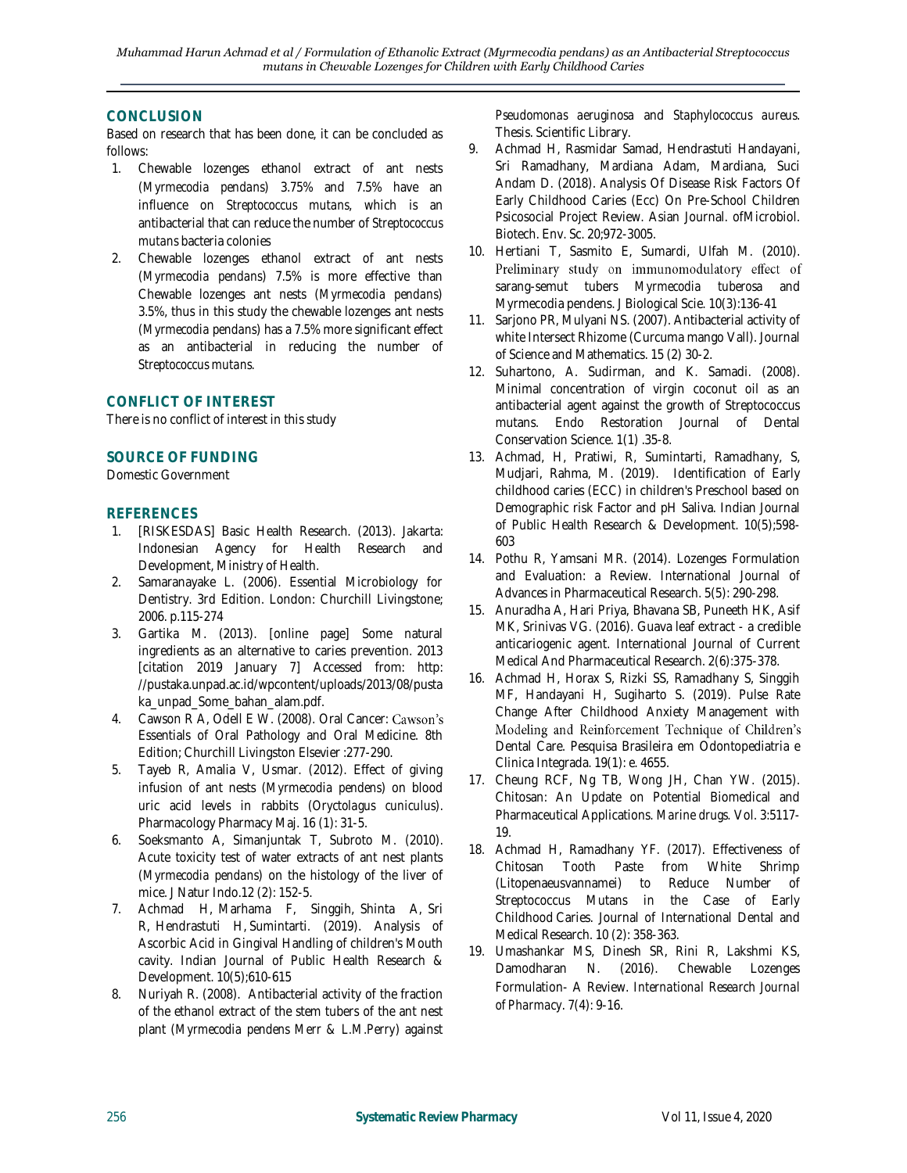# **CONCLUSION**

Based on research that has been done, it can be concluded as follows:

- 1. Chewable lozenges ethanol extract of ant nests (*Myrmecodia pendans*) 3.75% and 7.5% have an influence on *Streptococcus mutans*, which is an antibacterial that can reduce the number of *Streptococcus mutans* bacteria colonies
- 2. Chewable lozenges ethanol extract of ant nests (*Myrmecodia pendans*) 7.5% is more effective than Chewable lozenges ant nests (*Myrmecodia pendans*) 3.5%, thus in this study the chewable lozenges ant nests (*Myrmecodia pendans*) has a 7.5% more significant effect as an antibacterial in reducing the number of *Streptococcus mutans.*

# **CONFLICT OF INTEREST**

There is no conflict of interest in this study

## **SOURCE OF FUNDING**

Domestic Government

## **REFERENCES**

- 1. [RISKESDAS] Basic Health Research. (2013). Jakarta: Indonesian Agency for Health Research and Development, Ministry of Health.
- 2. Samaranayake L. (2006). Essential Microbiology for Dentistry. 3rd Edition. London: Churchill Livingstone; 2006. p.115-274
- 3. Gartika M. (2013). [online page] Some natural ingredients as an alternative to caries prevention. 2013 [citation 2019 January 7] Accessed from: http: //pustaka.unpad.ac.id/wpcontent/uploads/2013/08/pusta ka\_unpad\_Some\_bahan\_alam.pdf.
- 4. Cawson R A, Odell E W. (2008). Oral Cancer: Cawson's Essentials of Oral Pathology and Oral Medicine. 8th Edition; Churchill Livingston Elsevier :277-290.
- 5. Tayeb R, Amalia V, Usmar. (2012). Effect of giving infusion of ant nests (*Myrmecodia pendens*) on blood uric acid levels in rabbits (*Oryctolagus cuniculus*). Pharmacology Pharmacy Maj. 16 (1): 31-5.
- 6. Soeksmanto A, Simanjuntak T, Subroto M. (2010). Acute toxicity test of water extracts of ant nest plants (*Myrmecodia pendans*) on the histology of the liver of mice. J Natur Indo.12 (2): 152-5.
- 7. Achmad H, Marhama F, Singgih, Shinta A, Sri R, Hendrastuti H, Sumintarti. (2019). Analysis of Ascorbic Acid in Gingival Handling of children's Mouth cavity. Indian Journal of Public Health Research & Development. 10(5);610-615
- 8. Nuriyah R. (2008). Antibacterial activity of the fraction of the ethanol extract of the stem tubers of the ant nest plant (*Myrmecodia pendens Merr & L.M.Perry*) against

*Pseudomonas aeruginosa* and *Staphylococcus aureus*. Thesis. Scientific Library.

- 9. Achmad H, Rasmidar Samad, Hendrastuti Handayani, Sri Ramadhany, Mardiana Adam, Mardiana, Suci Andam D. (2018). Analysis Of Disease Risk Factors Of Early Childhood Caries (Ecc) On Pre-School Children Psicosocial Project Review. Asian Journal. ofMicrobiol. Biotech. Env. Sc. 20;972-3005.
- 10. Hertiani T, Sasmito E, Sumardi, Ulfah M. (2010). Preliminary study on immunomodulatory effect of sarang-semut tubers *Myrmecodia tuberosa* and Myrmecodia pendens. J Biological Scie. 10(3):136-41
- 11. Sarjono PR, Mulyani NS. (2007). Antibacterial activity of white Intersect Rhizome (Curcuma mango Vall). Journal of Science and Mathematics. 15 (2) 30-2.
- 12. Suhartono, A. Sudirman, and K. Samadi. (2008). Minimal concentration of virgin coconut oil as an antibacterial agent against the growth of Streptococcus mutans. Endo Restoration Journal of Dental Conservation Science. 1(1) .35-8.
- 13. Achmad, H, Pratiwi, R, Sumintarti, Ramadhany, S, Mudjari, Rahma, M. (2019). Identification of Early childhood caries (ECC) in children's Preschool based on Demographic risk Factor and pH Saliva. Indian Journal of Public Health Research & Development. 10(5);598- 603
- 14. Pothu R, Yamsani MR. (2014). Lozenges Formulation and Evaluation: a Review. International Journal of Advances in Pharmaceutical Research. 5(5): 290-298.
- 15. Anuradha A, Hari Priya, Bhavana SB, Puneeth HK, Asif MK, Srinivas VG. (2016). Guava leaf extract - a credible anticariogenic agent. International Journal of Current Medical And Pharmaceutical Research. 2(6):375-378.
- 16. Achmad H, Horax S, Rizki SS, Ramadhany S, Singgih MF, Handayani H, Sugiharto S. (2019). Pulse Rate Change After Childhood Anxiety Management with Modeling and Reinforcement Technique of Children's Dental Care. Pesquisa Brasileira em Odontopediatria e Clinica Integrada. 19(1): e. 4655.
- 17. Cheung RCF, Ng TB, Wong JH, Chan YW. (2015). Chitosan: An Update on Potential Biomedical and Pharmaceutical Applications. *Marine drugs.* Vol. 3:5117- 19.
- 18. Achmad H, Ramadhany YF. (2017). Effectiveness of Chitosan Tooth Paste from White Shrimp (Litopenaeusvannamei) to Reduce Number of Streptococcus Mutans in the Case of Early Childhood Caries. Journal of International Dental and Medical Research. 10 (2): 358-363.
- 19. Umashankar MS, Dinesh SR, Rini R, Lakshmi KS, Damodharan N. (2016). Chewable Lozenges Formulation- A Review. *International Research Journal of Pharmacy*. 7(4): 9-16.